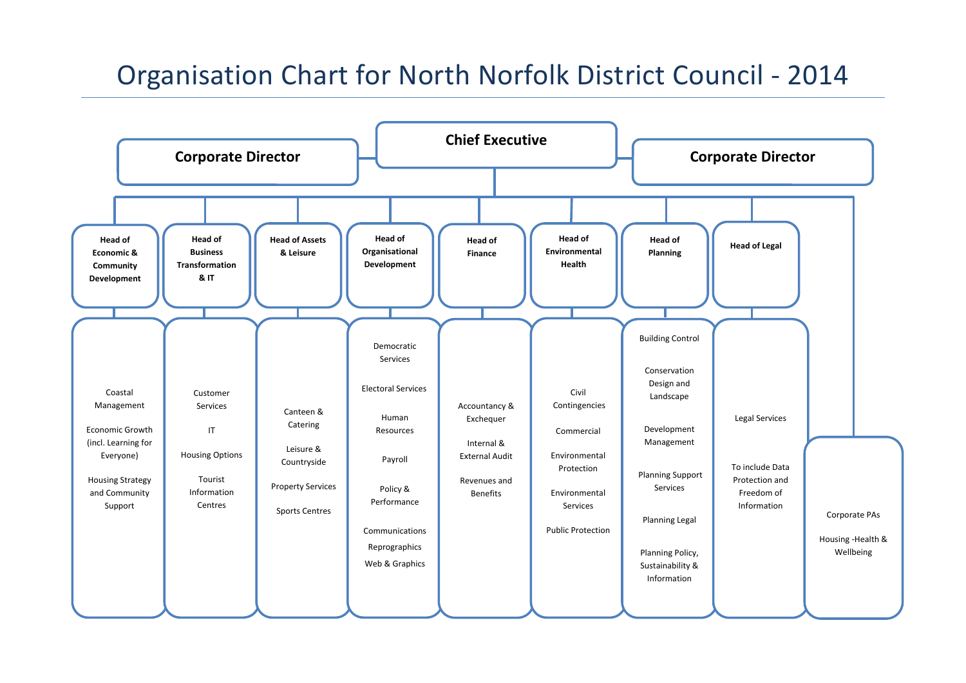# Organisation Chart for North Norfolk District Council ‐ 2014

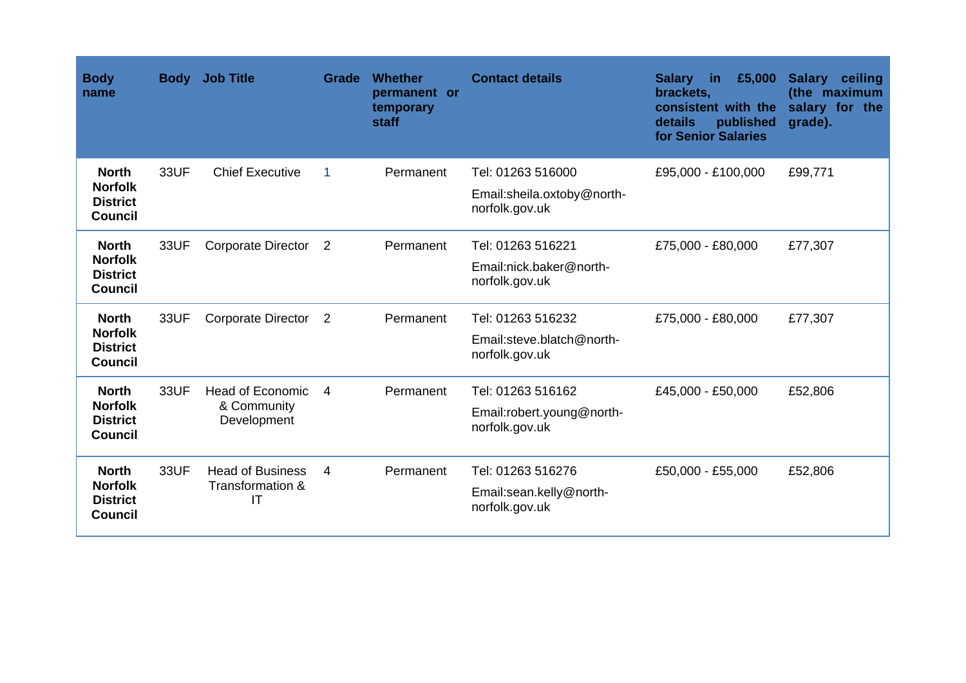| <b>Body</b><br>name                                                 | <b>Body</b> | <b>Job Title</b>                                      | Grade          | Whether<br>permanent or<br>temporary<br>staff | <b>Contact details</b>                       | £5,000<br><b>Salary</b><br>in<br>brackets,<br>consistent with the<br>details<br>published<br>for Senior Salaries | <b>Salary</b><br>ceiling<br>(the maximum<br>salary for the<br>grade). |
|---------------------------------------------------------------------|-------------|-------------------------------------------------------|----------------|-----------------------------------------------|----------------------------------------------|------------------------------------------------------------------------------------------------------------------|-----------------------------------------------------------------------|
| <b>North</b><br><b>Norfolk</b>                                      | 33UF        | <b>Chief Executive</b>                                | 1              | Permanent                                     | Tel: 01263 516000                            | £95,000 - £100,000                                                                                               | £99,771                                                               |
| <b>District</b><br><b>Council</b>                                   |             |                                                       |                |                                               | Email:sheila.oxtoby@north-<br>norfolk.gov.uk |                                                                                                                  |                                                                       |
| <b>North</b>                                                        | <b>33UF</b> | <b>Corporate Director</b>                             | $\overline{2}$ | Permanent                                     | Tel: 01263 516221                            | £75,000 - £80,000                                                                                                | £77,307                                                               |
| <b>Norfolk</b><br><b>District</b><br><b>Council</b>                 |             |                                                       |                |                                               | Email:nick.baker@north-<br>norfolk.gov.uk    |                                                                                                                  |                                                                       |
| <b>North</b><br><b>Norfolk</b><br><b>District</b><br><b>Council</b> | 33UF        | <b>Corporate Director</b>                             | 2              | Permanent                                     | Tel: 01263 516232                            | £75,000 - £80,000                                                                                                | £77,307                                                               |
|                                                                     |             |                                                       |                |                                               | Email:steve.blatch@north-<br>norfolk.gov.uk  |                                                                                                                  |                                                                       |
| <b>North</b><br><b>Norfolk</b><br><b>District</b><br><b>Council</b> | 33UF        | <b>Head of Economic</b><br>& Community<br>Development | 4              | Permanent                                     | Tel: 01263 516162                            | £45,000 - £50,000                                                                                                | £52,806                                                               |
|                                                                     |             |                                                       |                |                                               | Email:robert.young@north-<br>norfolk.gov.uk  |                                                                                                                  |                                                                       |
| <b>North</b><br><b>Norfolk</b><br><b>District</b><br><b>Council</b> | 33UF        | <b>Head of Business</b><br>Transformation &<br>IT     | 4              | Permanent                                     | Tel: 01263 516276                            | £50,000 - £55,000                                                                                                | £52,806                                                               |
|                                                                     |             |                                                       |                |                                               | Email:sean.kelly@north-<br>norfolk.gov.uk    |                                                                                                                  |                                                                       |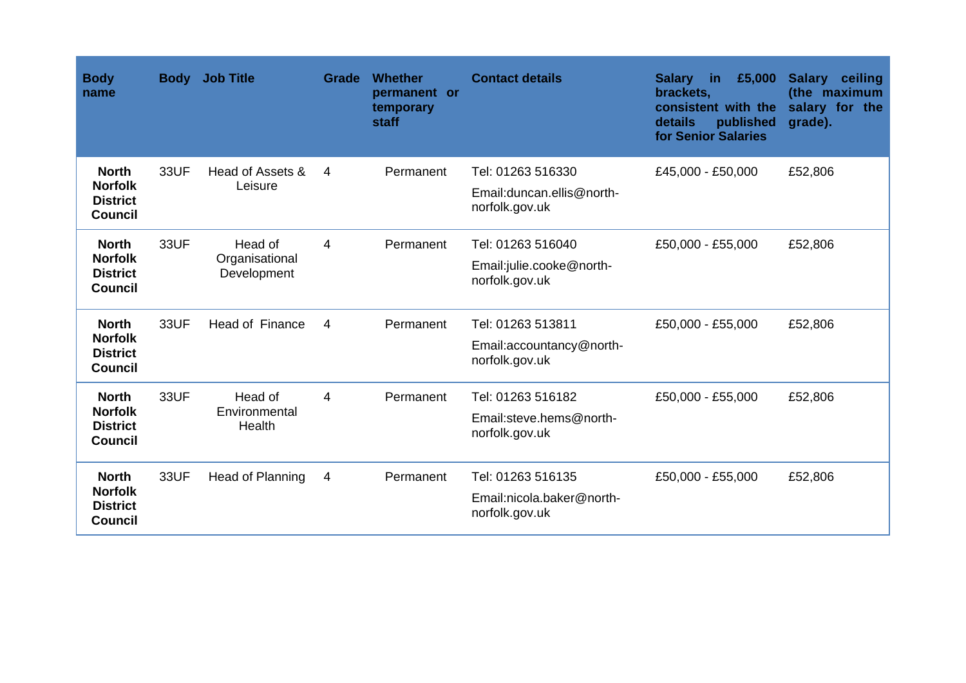| <b>Body</b><br>name                                                 | <b>Body</b> | <b>Job Title</b>                   | Grade | <b>Whether</b><br>permanent or<br>temporary<br>staff | <b>Contact details</b>                       | £5,000<br><b>Salary</b><br>in<br>brackets,<br>consistent with the<br>details<br>published<br>for Senior Salaries | <b>Salary</b><br>ceiling<br>(the maximum<br>salary for the<br>grade). |
|---------------------------------------------------------------------|-------------|------------------------------------|-------|------------------------------------------------------|----------------------------------------------|------------------------------------------------------------------------------------------------------------------|-----------------------------------------------------------------------|
| <b>North</b>                                                        | <b>33UF</b> | Head of Assets &<br>Leisure        | 4     | Permanent                                            | Tel: 01263 516330                            | £45,000 - £50,000                                                                                                | £52,806                                                               |
| <b>Norfolk</b><br><b>District</b><br><b>Council</b>                 |             |                                    |       |                                                      | Email: duncan.ellis@north-<br>norfolk.gov.uk |                                                                                                                  |                                                                       |
| <b>North</b>                                                        | 33UF        | Head of                            | 4     | Permanent                                            | Tel: 01263 516040                            | £50,000 - £55,000                                                                                                | £52,806                                                               |
| <b>Norfolk</b><br><b>District</b><br><b>Council</b>                 |             | Organisational<br>Development      |       |                                                      | Email:julie.cooke@north-<br>norfolk.gov.uk   |                                                                                                                  |                                                                       |
| <b>North</b><br><b>Norfolk</b><br><b>District</b><br><b>Council</b> | 33UF        | Head of Finance                    | 4     | Permanent                                            | Tel: 01263 513811                            | £50,000 - £55,000                                                                                                | £52,806                                                               |
|                                                                     |             |                                    |       |                                                      | Email:accountancy@north-<br>norfolk.gov.uk   |                                                                                                                  |                                                                       |
| <b>North</b><br><b>Norfolk</b><br><b>District</b><br><b>Council</b> | <b>33UF</b> | Head of<br>Environmental<br>Health | 4     | Permanent                                            | Tel: 01263 516182                            | £50,000 - £55,000                                                                                                | £52,806                                                               |
|                                                                     |             |                                    |       |                                                      | Email:steve.hems@north-<br>norfolk.gov.uk    |                                                                                                                  |                                                                       |
| <b>North</b><br><b>Norfolk</b><br><b>District</b><br><b>Council</b> | 33UF        | Head of Planning                   | 4     | Permanent                                            | Tel: 01263 516135                            | £50,000 - £55,000                                                                                                | £52,806                                                               |
|                                                                     |             |                                    |       |                                                      | Email:nicola.baker@north-<br>norfolk.gov.uk  |                                                                                                                  |                                                                       |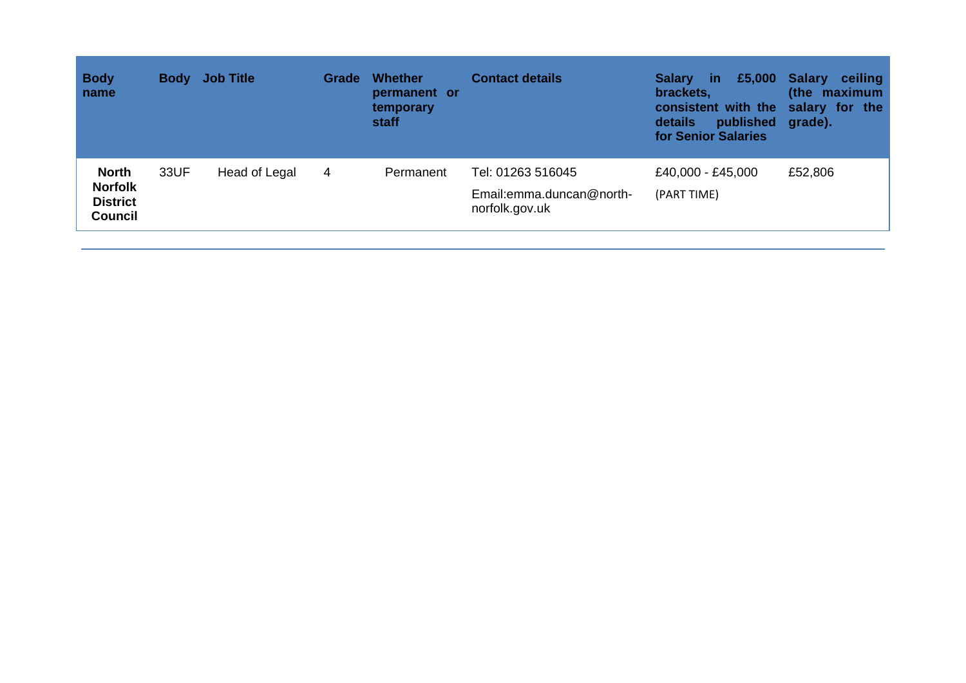| <b>Body</b><br>name                                                 |      | <b>Body</b> Job Title | Grade          | <b>Whether</b><br>permanent or<br>temporary<br>staff | <b>Contact details</b>                                          | <b>Salary</b><br>-in<br>brackets,<br>consistent with the salary for the<br>published grade).<br>details<br>for Senior Salaries | £5,000 Salary<br>ceiling<br>(the maximum |
|---------------------------------------------------------------------|------|-----------------------|----------------|------------------------------------------------------|-----------------------------------------------------------------|--------------------------------------------------------------------------------------------------------------------------------|------------------------------------------|
| <b>North</b><br><b>Norfolk</b><br><b>District</b><br><b>Council</b> | 33UF | Head of Legal         | $\overline{4}$ | Permanent                                            | Tel: 01263 516045<br>Email:emma.duncan@north-<br>norfolk.gov.uk | £40,000 - £45,000<br>(PART TIME)                                                                                               | £52,806                                  |